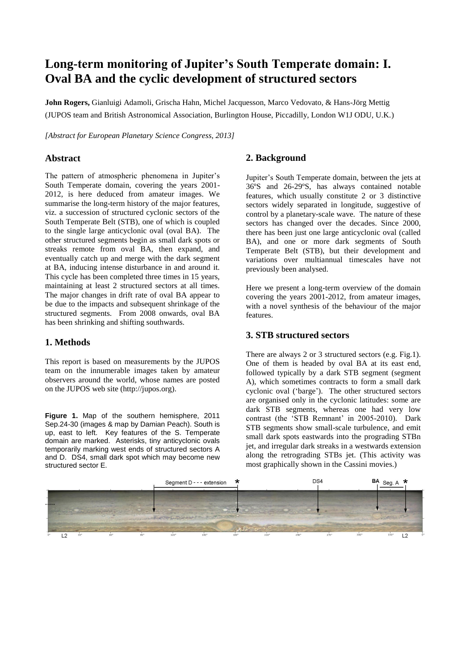# **Long-term monitoring of Jupiter's South Temperate domain: I. Oval BA and the cyclic development of structured sectors**

**John Rogers,** Gianluigi Adamoli, Grischa Hahn, Michel Jacquesson, Marco Vedovato, & Hans-Jörg Mettig (JUPOS team and British Astronomical Association, Burlington House, Piccadilly, London W1J ODU, U.K.)

*[Abstract for European Planetary Science Congress, 2013]*

## **Abstract**

The pattern of atmospheric phenomena in Jupiter's South Temperate domain, covering the years 2001- 2012, is here deduced from amateur images. We summarise the long-term history of the major features, viz. a succession of structured cyclonic sectors of the South Temperate Belt (STB), one of which is coupled to the single large anticyclonic oval (oval BA). The other structured segments begin as small dark spots or streaks remote from oval BA, then expand, and eventually catch up and merge with the dark segment at BA, inducing intense disturbance in and around it. This cycle has been completed three times in 15 years, maintaining at least 2 structured sectors at all times. The major changes in drift rate of oval BA appear to be due to the impacts and subsequent shrinkage of the structured segments. From 2008 onwards, oval BA has been shrinking and shifting southwards.

## **1. Methods**

This report is based on measurements by the JUPOS team on the innumerable images taken by amateur observers around the world, whose names are posted on the JUPOS web site (http://jupos.org).

**Figure 1.** Map of the southern hemisphere, 2011 Sep.24-30 (images & map by Damian Peach). South is up, east to left. Key features of the S. Temperate domain are marked. Asterisks, tiny anticyclonic ovals temporarily marking west ends of structured sectors A and D. DS4, small dark spot which may become new structured sector E.

# **2. Background**

Jupiter's South Temperate domain, between the jets at 36ºS and 26-29ºS, has always contained notable features, which usually constitute 2 or 3 distinctive sectors widely separated in longitude, suggestive of control by a planetary-scale wave. The nature of these sectors has changed over the decades. Since 2000, there has been just one large anticyclonic oval (called BA), and one or more dark segments of South Temperate Belt (STB), but their development and variations over multiannual timescales have not previously been analysed.

Here we present a long-term overview of the domain covering the years 2001-2012, from amateur images, with a novel synthesis of the behaviour of the major features.

### **3. STB structured sectors**

There are always 2 or 3 structured sectors (e.g. Fig.1). One of them is headed by oval BA at its east end, followed typically by a dark STB segment (segment A), which sometimes contracts to form a small dark cyclonic oval ('barge'). The other structured sectors are organised only in the cyclonic latitudes: some are dark STB segments, whereas one had very low contrast (the 'STB Remnant' in 2005-2010). Dark STB segments show small-scale turbulence, and emit small dark spots eastwards into the prograding STBn jet, and irregular dark streaks in a westwards extension along the retrograding STBs jet. (This activity was most graphically shown in the Cassini movies.)

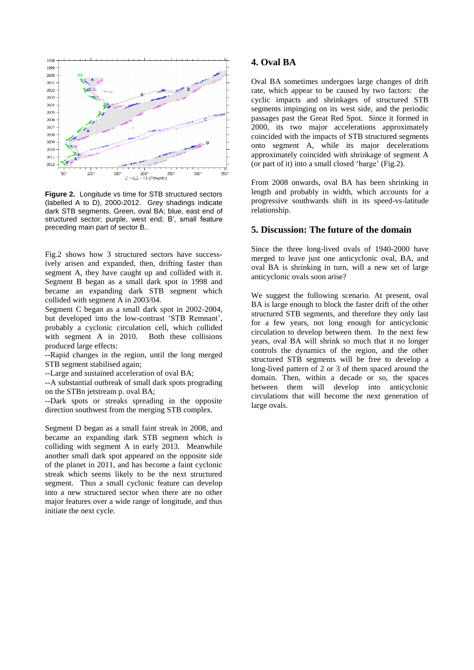

**Figure 2.** Longitude vs time for STB structured sectors (labelled A to D), 2000-2012. Grey shadings indicate dark STB segments. Green, oval BA; blue, east end of structured sector; purple, west end; B', small feature preceding main part of sector B..

Fig.2 shows how 3 structured sectors have successively arisen and expanded, then, drifting faster than segment A, they have caught up and collided with it. Segment B began as a small dark spot in 1998 and became an expanding dark STB segment which collided with segment A in 2003/04.

Segment C began as a small dark spot in 2002-2004, but developed into the low-contrast 'STB Remnant', probably a cyclonic circulation cell, which collided with segment A in 2010. Both these collisions produced large effects:

--Rapid changes in the region, until the long merged STB segment stabilised again;

--Large and sustained acceleration of oval BA;

--A substantial outbreak of small dark spots prograding on the STBn jetstream p. oval BA;

--Dark spots or streaks spreading in the opposite direction southwest from the merging STB complex.

Segment D began as a small faint streak in 2008, and became an expanding dark STB segment which is colliding with segment A in early 2013. Meanwhile another small dark spot appeared on the opposite side of the planet in 2011, and has become a faint cyclonic streak which seems likely to be the next structured segment. Thus a small cyclonic feature can develop into a new structured sector when there are no other major features over a wide range of longitude, and thus initiate the next cycle.

### **4. Oval BA**

Oval BA sometimes undergoes large changes of drift rate, which appear to be caused by two factors: the cyclic impacts and shrinkages of structured STB segments impinging on its west side, and the periodic passages past the Great Red Spot. Since it formed in 2000, its two major accelerations approximately coincided with the impacts of STB structured segments onto segment A, while its major decelerations approximately coincided with shrinkage of segment A (or part of it) into a small closed 'barge' (Fig.2).

From 2008 onwards, oval BA has been shrinking in length and probably in width, which accounts for a progressive southwards shift in its speed-vs-latitude relationship.

#### **5. Discussion: The future of the domain**

Since the three long-lived ovals of 1940-2000 have merged to leave just one anticyclonic oval, BA, and oval BA is shrinking in turn, will a new set of large anticyclonic ovals soon arise?

We suggest the following scenario. At present, oval BA is large enough to block the faster drift of the other structured STB segments, and therefore they only last for a few years, not long enough for anticyclonic circulation to develop between them. In the next few years, oval BA will shrink so much that it no longer controls the dynamics of the region, and the other structured STB segments will be free to develop a long-lived pattern of 2 or 3 of them spaced around the domain. Then, within a decade or so, the spaces between them will develop into anticyclonic circulations that will become the next generation of large ovals.